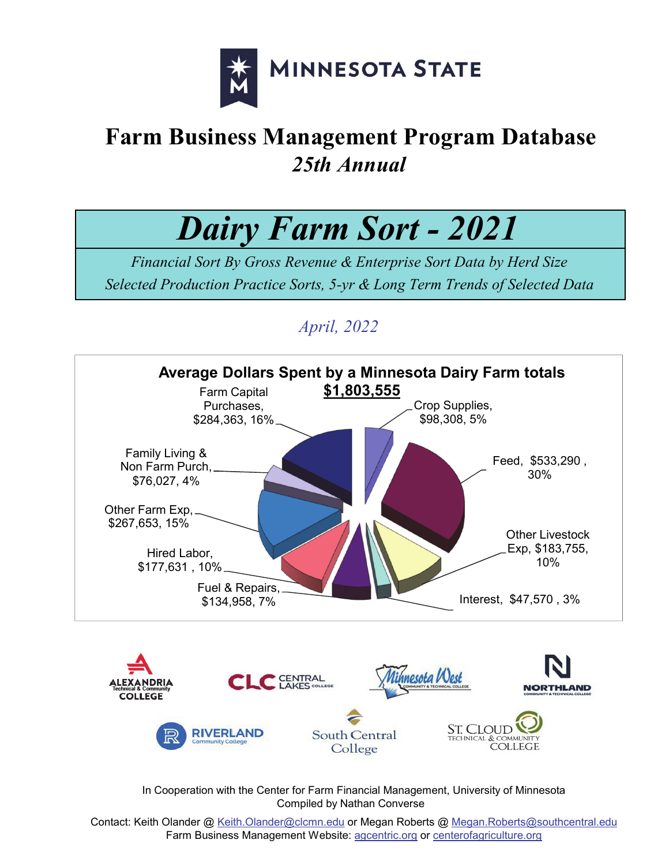

# **Farm Business Management Program Database** *25th Annual*

*Dairy Farm Sort - 2021*

*Financial Sort By Gross Revenue & Enterprise Sort Data by Herd Size Selected Production Practice Sorts, 5-yr & Long Term Trends of Selected Data*

# *April, 2022*



 In Cooperation with the Center for Farm Financial Management, University of Minnesota Compiled by Nathan Converse

Contact: Keith Olander @ Keith.Olander@clcmn.edu or Megan Roberts @ Megan.Roberts@southcentral.edu Farm Business Management Website: agcentric.org or centerofagriculture.org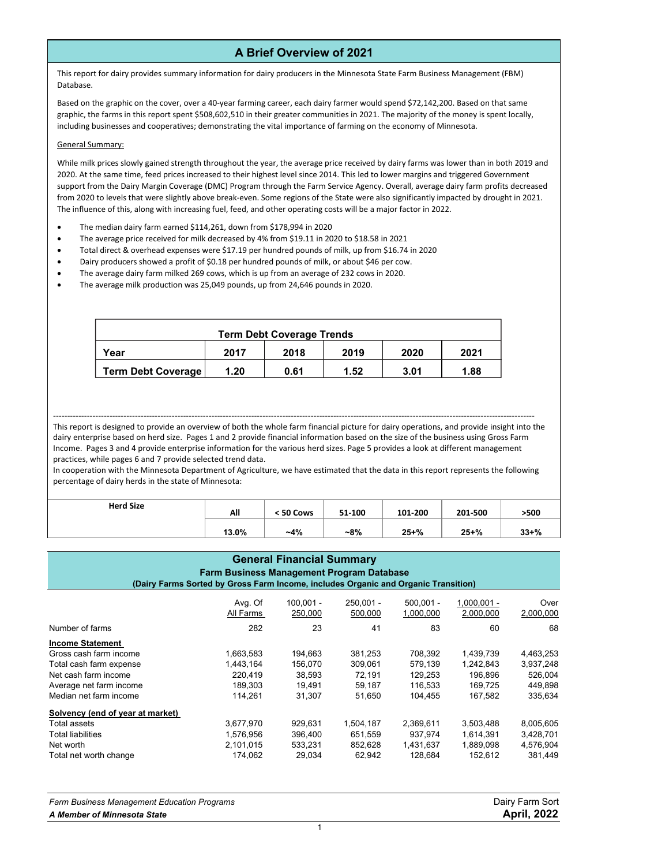### **A Brief Overview of 2021**

This report for dairy provides summary information for dairy producers in the Minnesota State Farm Business Management (FBM) Database.

Based on the graphic on the cover, over a 40‐year farming career, each dairy farmer would spend \$72,142,200. Based on that same graphic, the farms in this report spent \$508,602,510 in their greater communities in 2021. The majority of the money is spent locally, including businesses and cooperatives; demonstrating the vital importance of farming on the economy of Minnesota.

#### General Summary:

While milk prices slowly gained strength throughout the year, the average price received by dairy farms was lower than in both 2019 and 2020. At the same time, feed prices increased to their highest level since 2014. This led to lower margins and triggered Government support from the Dairy Margin Coverage (DMC) Program through the Farm Service Agency. Overall, average dairy farm profits decreased from 2020 to levels that were slightly above break‐even. Some regions of the State were also significantly impacted by drought in 2021. The influence of this, along with increasing fuel, feed, and other operating costs will be a major factor in 2022.

- The median dairy farm earned \$114,261, down from \$178,994 in 2020
- The average price received for milk decreased by 4% from \$19.11 in 2020 to \$18.58 in 2021
- Total direct & overhead expenses were \$17.19 per hundred pounds of milk, up from \$16.74 in 2020
- Dairy producers showed a profit of \$0.18 per hundred pounds of milk, or about \$46 per cow.
- The average dairy farm milked 269 cows, which is up from an average of 232 cows in 2020.
- The average milk production was 25,049 pounds, up from 24,646 pounds in 2020.

| <b>Term Debt Coverage Trends</b> |      |      |      |      |      |  |  |  |
|----------------------------------|------|------|------|------|------|--|--|--|
| Year                             | 2017 | 2018 | 2019 | 2020 | 2021 |  |  |  |
| <b>Term Debt Coverage</b>        | 1.20 | 0.61 | 1.52 | 3.01 | 1.88 |  |  |  |

#### ‐‐‐‐‐‐‐‐‐‐‐‐‐‐‐‐‐‐‐‐‐‐‐‐‐‐‐‐‐‐‐‐‐‐‐‐‐‐‐‐‐‐‐‐‐‐‐‐‐‐‐‐‐‐‐‐‐‐‐‐‐‐‐‐‐‐‐‐‐‐‐‐‐‐‐‐‐‐‐‐‐‐‐‐‐‐‐‐‐‐‐‐‐‐‐‐‐‐‐‐‐‐‐‐‐‐‐‐‐‐‐‐‐‐‐‐‐‐‐‐‐‐‐‐‐‐‐‐‐‐‐‐‐‐‐‐‐‐‐‐‐‐‐‐‐‐‐‐‐‐‐‐‐‐‐‐‐‐‐‐‐‐‐‐‐‐‐‐‐‐

This report is designed to provide an overview of both the whole farm financial picture for dairy operations, and provide insight into the dairy enterprise based on herd size. Pages 1 and 2 provide financial information based on the size of the business using Gross Farm Income. Pages 3 and 4 provide enterprise information for the various herd sizes. Page 5 provides a look at different management practices, while pages 6 and 7 provide selected trend data.

In cooperation with the Minnesota Department of Agriculture, we have estimated that the data in this report represents the following percentage of dairy herds in the state of Minnesota:

| <b>Herd Size</b> | All   | < 50 Cows | 51-100 | 101-200   | 201-500   | >500      |
|------------------|-------|-----------|--------|-----------|-----------|-----------|
|                  | 13.0% | $-4%$     | $-8%$  | $25 + \%$ | $25 + \%$ | $33 + \%$ |

### Avg. Of 100,001 - 250,001 - 500,001 - 1,000,001 - Over All Farms 250,000 500,000 1,000,000 2,000,000 2,000,000 Number of farms 282 23 41 83 60 68 **Income Statement** Gross cash farm income 1,663,583 194,663 381,253 708,392 1,439,739 4,463,253 Total cash farm expense 1,443,164 156,070 309,061 579,139 1,242,843 3,937,248 Net cash farm income 220,419 38,593 72,191 129,253 196,896 526,004 Average net farm income 189,303 19,491 59,187 116,533 169,725 449,898 Median net farm income 114,261 31,307 51,650 104,455 167,582 335,634 **Solvency (end of year at market)**  Total assets 3,677,970 929,631 1,504,187 2,369,611 3,503,488 8,005,605 Total liabilities 1,576,956 396,400 651,559 937,974 1,614,391 3,428,701 Net worth 2,101,015 533,231 852,628 1,431,637 1,889,098 4,576,904 Total net worth change 174,062 29,034 62,942 128,684 152,612 381,449 **General Financial Summary Farm Business Management Program Database (Dairy Farms Sorted by Gross Farm Income, includes Organic and Organic Transition)**

| <b>Farm Business Management Education Programs</b> | Dairy Farm Sort    |
|----------------------------------------------------|--------------------|
| A Member of Minnesota State                        | <b>April, 2022</b> |
|                                                    |                    |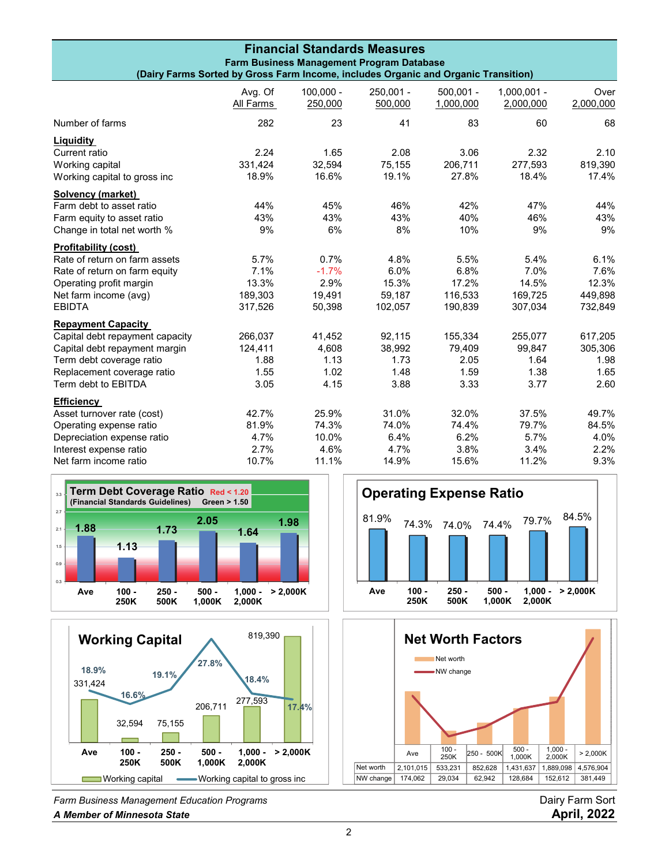| <b>Financial Standards Measures</b><br>Farm Business Management Program Database<br>(Dairy Farms Sorted by Gross Farm Income, includes Organic and Organic Transition) |                      |                        |                        |                          |                            |                   |
|------------------------------------------------------------------------------------------------------------------------------------------------------------------------|----------------------|------------------------|------------------------|--------------------------|----------------------------|-------------------|
|                                                                                                                                                                        |                      |                        |                        |                          |                            |                   |
|                                                                                                                                                                        | Avg. Of<br>All Farms | $100,000 -$<br>250,000 | $250,001 -$<br>500,000 | $500.001 -$<br>1,000,000 | $1,000,001 -$<br>2,000,000 | Over<br>2,000,000 |
| Number of farms                                                                                                                                                        | 282                  | 23                     | 41                     | 83                       | 60                         | 68                |
| Liquidity                                                                                                                                                              |                      |                        |                        |                          |                            |                   |
| Current ratio                                                                                                                                                          | 2.24                 | 1.65                   | 2.08                   | 3.06                     | 2.32                       | 2.10              |
| Working capital                                                                                                                                                        | 331,424              | 32,594                 | 75,155                 | 206,711                  | 277,593                    | 819,390           |
| Working capital to gross inc                                                                                                                                           | 18.9%                | 16.6%                  | 19.1%                  | 27.8%                    | 18.4%                      | 17.4%             |
| Solvency (market)                                                                                                                                                      |                      |                        |                        |                          |                            |                   |
| Farm debt to asset ratio                                                                                                                                               | 44%                  | 45%                    | 46%                    | 42%                      | 47%                        | 44%               |
| Farm equity to asset ratio                                                                                                                                             | 43%                  | 43%                    | 43%                    | 40%                      | 46%                        | 43%               |
| Change in total net worth %                                                                                                                                            | 9%                   | 6%                     | 8%                     | 10%                      | 9%                         | 9%                |
| <b>Profitability (cost)</b>                                                                                                                                            |                      |                        |                        |                          |                            |                   |
| Rate of return on farm assets                                                                                                                                          | 5.7%                 | 0.7%                   | 4.8%                   | 5.5%                     | 5.4%                       | 6.1%              |
| Rate of return on farm equity                                                                                                                                          | 7.1%                 | $-1.7%$                | 6.0%                   | 6.8%                     | 7.0%                       | 7.6%              |
| Operating profit margin                                                                                                                                                | 13.3%                | 2.9%                   | 15.3%                  | 17.2%                    | 14.5%                      | 12.3%             |
| Net farm income (avg)                                                                                                                                                  | 189,303              | 19,491                 | 59,187                 | 116,533                  | 169,725                    | 449,898           |
| <b>EBIDTA</b>                                                                                                                                                          | 317,526              | 50,398                 | 102,057                | 190,839                  | 307,034                    | 732,849           |
| <b>Repayment Capacity</b>                                                                                                                                              |                      |                        |                        |                          |                            |                   |
| Capital debt repayment capacity                                                                                                                                        | 266,037              | 41,452                 | 92,115                 | 155,334                  | 255,077                    | 617,205           |
| Capital debt repayment margin                                                                                                                                          | 124,411              | 4,608                  | 38,992                 | 79,409                   | 99,847                     | 305,306           |
| Term debt coverage ratio                                                                                                                                               | 1.88                 | 1.13                   | 1.73                   | 2.05                     | 1.64                       | 1.98              |
| Replacement coverage ratio                                                                                                                                             | 1.55                 | 1.02                   | 1.48                   | 1.59                     | 1.38                       | 1.65              |
| Term debt to EBITDA                                                                                                                                                    | 3.05                 | 4.15                   | 3.88                   | 3.33                     | 3.77                       | 2.60              |
| <b>Efficiency</b>                                                                                                                                                      |                      |                        |                        |                          |                            |                   |
| Asset turnover rate (cost)                                                                                                                                             | 42.7%                | 25.9%                  | 31.0%                  | 32.0%                    | 37.5%                      | 49.7%             |
| Operating expense ratio                                                                                                                                                | 81.9%                | 74.3%                  | 74.0%                  | 74.4%                    | 79.7%                      | 84.5%             |
| Depreciation expense ratio                                                                                                                                             | 4.7%                 | 10.0%                  | 6.4%                   | 6.2%                     | 5.7%                       | 4.0%              |
| Interest expense ratio                                                                                                                                                 | 2.7%                 | 4.6%                   | 4.7%                   | 3.8%                     | 3.4%                       | 2.2%              |
| Net farm income ratio                                                                                                                                                  | 10.7%                | 11.1%                  | 14.9%                  | 15.6%                    | 11.2%                      | 9.3%              |





*Farm Business Management Education Programs* Dairy Farm Sort *A Member of Minnesota State* **April, 2022**



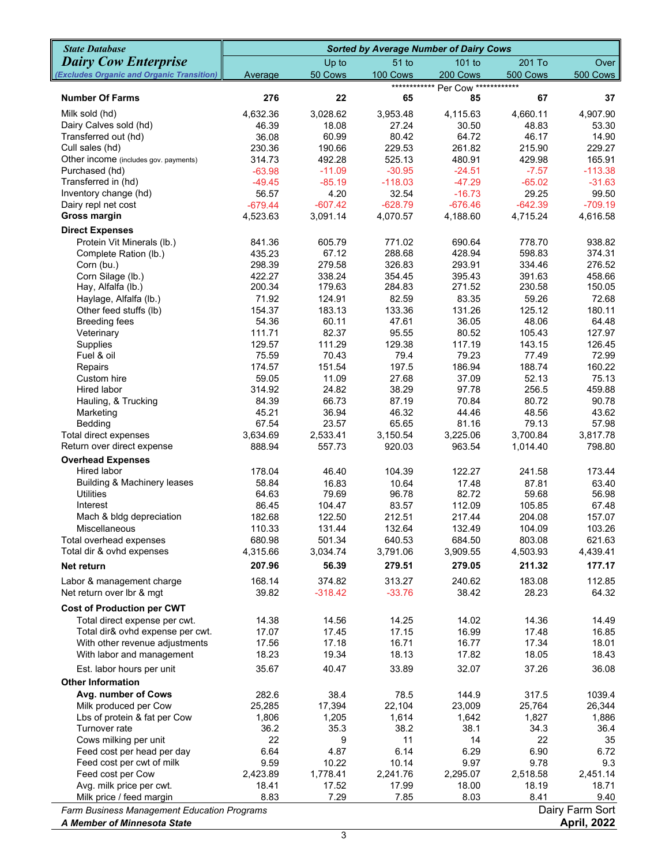| <b>Dairy Cow Enterprise</b><br>$51$ to<br>101 to<br>201 To<br>Over<br>Up to<br>50 Cows<br>200 Cows<br>500 Cows<br>100 Cows<br>500 Cows<br>Average<br>************* Per Cow ************<br>276<br>22<br>85<br>67<br>37<br><b>Number Of Farms</b><br>65<br>Milk sold (hd)<br>4,632.36<br>4,115.63<br>4,907.90<br>3,028.62<br>3,953.48<br>4,660.11<br>Dairy Calves sold (hd)<br>18.08<br>30.50<br>48.83<br>53.30<br>46.39<br>27.24<br>Transferred out (hd)<br>36.08<br>60.99<br>80.42<br>64.72<br>46.17<br>14.90<br>Cull sales (hd)<br>230.36<br>190.66<br>229.53<br>261.82<br>215.90<br>229.27<br>Other income (includes gov. payments)<br>165.91<br>314.73<br>492.28<br>525.13<br>480.91<br>429.98<br>Purchased (hd)<br>$-113.38$<br>$-63.98$<br>$-11.09$<br>$-30.95$<br>$-24.51$<br>$-7.57$<br>Transferred in (hd)<br>$-118.03$<br>$-47.29$<br>$-65.02$<br>$-31.63$<br>$-49.45$<br>$-85.19$<br>Inventory change (hd)<br>4.20<br>32.54<br>$-16.73$<br>29.25<br>99.50<br>56.57<br>Dairy repl net cost<br>$-628.79$<br>$-676.46$<br>$-642.39$<br>$-709.19$<br>$-679.44$<br>$-607.42$<br><b>Gross margin</b><br>4,616.58<br>4,523.63<br>3,091.14<br>4,070.57<br>4,188.60<br>4,715.24<br><b>Direct Expenses</b><br>771.02<br>778.70<br>938.82<br>Protein Vit Minerals (lb.)<br>841.36<br>605.79<br>690.64<br>67.12<br>288.68<br>428.94<br>598.83<br>374.31<br>435.23<br>Complete Ration (lb.)<br>298.39<br>279.58<br>326.83<br>293.91<br>276.52<br>Corn (bu.)<br>334.46<br>422.27<br>338.24<br>354.45<br>458.66<br>Corn Silage (lb.)<br>395.43<br>391.63<br>200.34<br>179.63<br>284.83<br>271.52<br>230.58<br>150.05<br>Hay, Alfalfa (lb.)<br>124.91<br>82.59<br>59.26<br>72.68<br>Haylage, Alfalfa (lb.)<br>71.92<br>83.35<br>133.36<br>131.26<br>180.11<br>Other feed stuffs (lb)<br>154.37<br>183.13<br>125.12<br>54.36<br>60.11<br>47.61<br>36.05<br>48.06<br>64.48<br><b>Breeding fees</b><br>82.37<br>95.55<br>80.52<br>105.43<br>127.97<br>Veterinary<br>111.71<br>111.29<br>117.19<br>143.15<br>126.45<br>Supplies<br>129.57<br>129.38<br>Fuel & oil<br>79.4<br>72.99<br>75.59<br>70.43<br>79.23<br>77.49<br>197.5<br>160.22<br>174.57<br>151.54<br>186.94<br>188.74<br>Repairs<br>59.05<br>11.09<br>27.68<br>52.13<br>75.13<br>Custom hire<br>37.09<br>24.82<br>38.29<br>256.5<br>459.88<br>Hired labor<br>314.92<br>97.78<br>80.72<br>90.78<br>Hauling, & Trucking<br>84.39<br>66.73<br>87.19<br>70.84<br>45.21<br>36.94<br>46.32<br>44.46<br>48.56<br>43.62<br>Marketing<br>67.54<br>23.57<br>65.65<br>81.16<br>79.13<br>57.98<br>Bedding<br>3,817.78<br>Total direct expenses<br>3,634.69<br>2,533.41<br>3,150.54<br>3,225.06<br>3,700.84<br>Return over direct expense<br>888.94<br>557.73<br>920.03<br>963.54<br>1,014.40<br>798.80<br><b>Overhead Expenses</b><br>178.04<br>Hired labor<br>46.40<br>104.39<br>122.27<br>241.58<br>173.44<br><b>Building &amp; Machinery leases</b><br>58.84<br>16.83<br>10.64<br>87.81<br>63.40<br>17.48<br><b>Utilities</b><br>82.72<br>64.63<br>79.69<br>96.78<br>59.68<br>56.98<br>Interest<br>86.45<br>104.47<br>83.57<br>112.09<br>105.85<br>67.48<br>Mach & bldg depreciation<br>182.68<br>122.50<br>212.51<br>217.44<br>204.08<br>157.07<br>110.33<br>132.64<br>132.49<br>104.09<br>103.26<br>131.44<br>Miscellaneous<br>680.98<br>501.34<br>684.50<br>803.08<br>621.63<br>Total overhead expenses<br>640.53<br>3,034.74<br>3,909.55<br>4,439.41<br>Total dir & ovhd expenses<br>4,315.66<br>3,791.06<br>4,503.93<br>207.96<br>56.39<br>279.51<br>211.32<br>177.17<br>279.05<br>Net return<br>183.08<br>Labor & management charge<br>168.14<br>374.82<br>313.27<br>240.62<br>112.85<br>$-33.76$<br>Net return over Ibr & mgt<br>39.82<br>$-318.42$<br>38.42<br>28.23<br>64.32<br><b>Cost of Production per CWT</b><br>Total direct expense per cwt.<br>14.38<br>14.56<br>14.25<br>14.02<br>14.36<br>14.49<br>Total dir& ovhd expense per cwt.<br>17.07<br>17.45<br>17.15<br>16.99<br>17.48<br>16.85<br>16.71<br>With other revenue adjustments<br>17.56<br>17.18<br>16.77<br>17.34<br>18.01<br>19.34<br>18.13<br>18.05<br>With labor and management<br>18.23<br>17.82<br>18.43<br>35.67<br>40.47<br>33.89<br>32.07<br>37.26<br>36.08<br>Est. labor hours per unit<br><b>Other Information</b><br>282.6<br>38.4<br>78.5<br>317.5<br>1039.4<br>Avg. number of Cows<br>144.9<br>Milk produced per Cow<br>25,285<br>17,394<br>22,104<br>23,009<br>25,764<br>26,344<br>Lbs of protein & fat per Cow<br>1,806<br>1,205<br>1,614<br>1,827<br>1,886<br>1,642<br>34.3<br>Turnover rate<br>36.2<br>35.3<br>38.2<br>38.1<br>36.4<br>Cows milking per unit<br>22<br>9<br>11<br>14<br>22<br>35<br>Feed cost per head per day<br>6.64<br>4.87<br>6.14<br>6.29<br>6.90<br>6.72<br>Feed cost per cwt of milk<br>9.59<br>9.97<br>9.78<br>9.3<br>10.22<br>10.14<br>Feed cost per Cow<br>2,423.89<br>1,778.41<br>2,241.76<br>2,295.07<br>2,451.14<br>2,518.58<br>Avg. milk price per cwt.<br>18.41<br>17.52<br>17.99<br>18.00<br>18.19<br>18.71<br>8.83<br>7.29<br>7.85<br>8.03<br>8.41<br>9.40<br>Milk price / feed margin<br>Dairy Farm Sort<br>Farm Business Management Education Programs<br><b>April, 2022</b><br>A Member of Minnesota State | <b>State Database</b>                     | <b>Sorted by Average Number of Dairy Cows</b> |  |  |  |  |  |
|-----------------------------------------------------------------------------------------------------------------------------------------------------------------------------------------------------------------------------------------------------------------------------------------------------------------------------------------------------------------------------------------------------------------------------------------------------------------------------------------------------------------------------------------------------------------------------------------------------------------------------------------------------------------------------------------------------------------------------------------------------------------------------------------------------------------------------------------------------------------------------------------------------------------------------------------------------------------------------------------------------------------------------------------------------------------------------------------------------------------------------------------------------------------------------------------------------------------------------------------------------------------------------------------------------------------------------------------------------------------------------------------------------------------------------------------------------------------------------------------------------------------------------------------------------------------------------------------------------------------------------------------------------------------------------------------------------------------------------------------------------------------------------------------------------------------------------------------------------------------------------------------------------------------------------------------------------------------------------------------------------------------------------------------------------------------------------------------------------------------------------------------------------------------------------------------------------------------------------------------------------------------------------------------------------------------------------------------------------------------------------------------------------------------------------------------------------------------------------------------------------------------------------------------------------------------------------------------------------------------------------------------------------------------------------------------------------------------------------------------------------------------------------------------------------------------------------------------------------------------------------------------------------------------------------------------------------------------------------------------------------------------------------------------------------------------------------------------------------------------------------------------------------------------------------------------------------------------------------------------------------------------------------------------------------------------------------------------------------------------------------------------------------------------------------------------------------------------------------------------------------------------------------------------------------------------------------------------------------------------------------------------------------------------------------------------------------------------------------------------------------------------------------------------------------------------------------------------------------------------------------------------------------------------------------------------------------------------------------------------------------------------------------------------------------------------------------------------------------------------------------------------------------------------------------------------------------------------------------------------------------------------------------------------------------------------------------------------------------------------------------------------------------------------------------------------------------------------------------------------------------------------------------------------------------------------------------------------------------------------------------------------------------------------------------------------------------------------------------------------------------------------------------------------------------------------------------------------------------------------------------------------------------------------------------------------------------------------------------------------------------------------------------------------------------------------------------------------------------------------------------------------------------------------------------------|-------------------------------------------|-----------------------------------------------|--|--|--|--|--|
|                                                                                                                                                                                                                                                                                                                                                                                                                                                                                                                                                                                                                                                                                                                                                                                                                                                                                                                                                                                                                                                                                                                                                                                                                                                                                                                                                                                                                                                                                                                                                                                                                                                                                                                                                                                                                                                                                                                                                                                                                                                                                                                                                                                                                                                                                                                                                                                                                                                                                                                                                                                                                                                                                                                                                                                                                                                                                                                                                                                                                                                                                                                                                                                                                                                                                                                                                                                                                                                                                                                                                                                                                                                                                                                                                                                                                                                                                                                                                                                                                                                                                                                                                                                                                                                                                                                                                                                                                                                                                                                                                                                                                                                                                                                                                                                                                                                                                                                                                                                                                                                                                                                                                                                   |                                           |                                               |  |  |  |  |  |
|                                                                                                                                                                                                                                                                                                                                                                                                                                                                                                                                                                                                                                                                                                                                                                                                                                                                                                                                                                                                                                                                                                                                                                                                                                                                                                                                                                                                                                                                                                                                                                                                                                                                                                                                                                                                                                                                                                                                                                                                                                                                                                                                                                                                                                                                                                                                                                                                                                                                                                                                                                                                                                                                                                                                                                                                                                                                                                                                                                                                                                                                                                                                                                                                                                                                                                                                                                                                                                                                                                                                                                                                                                                                                                                                                                                                                                                                                                                                                                                                                                                                                                                                                                                                                                                                                                                                                                                                                                                                                                                                                                                                                                                                                                                                                                                                                                                                                                                                                                                                                                                                                                                                                                                   | (Excludes Organic and Organic Transition) |                                               |  |  |  |  |  |
|                                                                                                                                                                                                                                                                                                                                                                                                                                                                                                                                                                                                                                                                                                                                                                                                                                                                                                                                                                                                                                                                                                                                                                                                                                                                                                                                                                                                                                                                                                                                                                                                                                                                                                                                                                                                                                                                                                                                                                                                                                                                                                                                                                                                                                                                                                                                                                                                                                                                                                                                                                                                                                                                                                                                                                                                                                                                                                                                                                                                                                                                                                                                                                                                                                                                                                                                                                                                                                                                                                                                                                                                                                                                                                                                                                                                                                                                                                                                                                                                                                                                                                                                                                                                                                                                                                                                                                                                                                                                                                                                                                                                                                                                                                                                                                                                                                                                                                                                                                                                                                                                                                                                                                                   |                                           |                                               |  |  |  |  |  |
|                                                                                                                                                                                                                                                                                                                                                                                                                                                                                                                                                                                                                                                                                                                                                                                                                                                                                                                                                                                                                                                                                                                                                                                                                                                                                                                                                                                                                                                                                                                                                                                                                                                                                                                                                                                                                                                                                                                                                                                                                                                                                                                                                                                                                                                                                                                                                                                                                                                                                                                                                                                                                                                                                                                                                                                                                                                                                                                                                                                                                                                                                                                                                                                                                                                                                                                                                                                                                                                                                                                                                                                                                                                                                                                                                                                                                                                                                                                                                                                                                                                                                                                                                                                                                                                                                                                                                                                                                                                                                                                                                                                                                                                                                                                                                                                                                                                                                                                                                                                                                                                                                                                                                                                   |                                           |                                               |  |  |  |  |  |
|                                                                                                                                                                                                                                                                                                                                                                                                                                                                                                                                                                                                                                                                                                                                                                                                                                                                                                                                                                                                                                                                                                                                                                                                                                                                                                                                                                                                                                                                                                                                                                                                                                                                                                                                                                                                                                                                                                                                                                                                                                                                                                                                                                                                                                                                                                                                                                                                                                                                                                                                                                                                                                                                                                                                                                                                                                                                                                                                                                                                                                                                                                                                                                                                                                                                                                                                                                                                                                                                                                                                                                                                                                                                                                                                                                                                                                                                                                                                                                                                                                                                                                                                                                                                                                                                                                                                                                                                                                                                                                                                                                                                                                                                                                                                                                                                                                                                                                                                                                                                                                                                                                                                                                                   |                                           |                                               |  |  |  |  |  |
|                                                                                                                                                                                                                                                                                                                                                                                                                                                                                                                                                                                                                                                                                                                                                                                                                                                                                                                                                                                                                                                                                                                                                                                                                                                                                                                                                                                                                                                                                                                                                                                                                                                                                                                                                                                                                                                                                                                                                                                                                                                                                                                                                                                                                                                                                                                                                                                                                                                                                                                                                                                                                                                                                                                                                                                                                                                                                                                                                                                                                                                                                                                                                                                                                                                                                                                                                                                                                                                                                                                                                                                                                                                                                                                                                                                                                                                                                                                                                                                                                                                                                                                                                                                                                                                                                                                                                                                                                                                                                                                                                                                                                                                                                                                                                                                                                                                                                                                                                                                                                                                                                                                                                                                   |                                           |                                               |  |  |  |  |  |
|                                                                                                                                                                                                                                                                                                                                                                                                                                                                                                                                                                                                                                                                                                                                                                                                                                                                                                                                                                                                                                                                                                                                                                                                                                                                                                                                                                                                                                                                                                                                                                                                                                                                                                                                                                                                                                                                                                                                                                                                                                                                                                                                                                                                                                                                                                                                                                                                                                                                                                                                                                                                                                                                                                                                                                                                                                                                                                                                                                                                                                                                                                                                                                                                                                                                                                                                                                                                                                                                                                                                                                                                                                                                                                                                                                                                                                                                                                                                                                                                                                                                                                                                                                                                                                                                                                                                                                                                                                                                                                                                                                                                                                                                                                                                                                                                                                                                                                                                                                                                                                                                                                                                                                                   |                                           |                                               |  |  |  |  |  |
|                                                                                                                                                                                                                                                                                                                                                                                                                                                                                                                                                                                                                                                                                                                                                                                                                                                                                                                                                                                                                                                                                                                                                                                                                                                                                                                                                                                                                                                                                                                                                                                                                                                                                                                                                                                                                                                                                                                                                                                                                                                                                                                                                                                                                                                                                                                                                                                                                                                                                                                                                                                                                                                                                                                                                                                                                                                                                                                                                                                                                                                                                                                                                                                                                                                                                                                                                                                                                                                                                                                                                                                                                                                                                                                                                                                                                                                                                                                                                                                                                                                                                                                                                                                                                                                                                                                                                                                                                                                                                                                                                                                                                                                                                                                                                                                                                                                                                                                                                                                                                                                                                                                                                                                   |                                           |                                               |  |  |  |  |  |
|                                                                                                                                                                                                                                                                                                                                                                                                                                                                                                                                                                                                                                                                                                                                                                                                                                                                                                                                                                                                                                                                                                                                                                                                                                                                                                                                                                                                                                                                                                                                                                                                                                                                                                                                                                                                                                                                                                                                                                                                                                                                                                                                                                                                                                                                                                                                                                                                                                                                                                                                                                                                                                                                                                                                                                                                                                                                                                                                                                                                                                                                                                                                                                                                                                                                                                                                                                                                                                                                                                                                                                                                                                                                                                                                                                                                                                                                                                                                                                                                                                                                                                                                                                                                                                                                                                                                                                                                                                                                                                                                                                                                                                                                                                                                                                                                                                                                                                                                                                                                                                                                                                                                                                                   |                                           |                                               |  |  |  |  |  |
|                                                                                                                                                                                                                                                                                                                                                                                                                                                                                                                                                                                                                                                                                                                                                                                                                                                                                                                                                                                                                                                                                                                                                                                                                                                                                                                                                                                                                                                                                                                                                                                                                                                                                                                                                                                                                                                                                                                                                                                                                                                                                                                                                                                                                                                                                                                                                                                                                                                                                                                                                                                                                                                                                                                                                                                                                                                                                                                                                                                                                                                                                                                                                                                                                                                                                                                                                                                                                                                                                                                                                                                                                                                                                                                                                                                                                                                                                                                                                                                                                                                                                                                                                                                                                                                                                                                                                                                                                                                                                                                                                                                                                                                                                                                                                                                                                                                                                                                                                                                                                                                                                                                                                                                   |                                           |                                               |  |  |  |  |  |
|                                                                                                                                                                                                                                                                                                                                                                                                                                                                                                                                                                                                                                                                                                                                                                                                                                                                                                                                                                                                                                                                                                                                                                                                                                                                                                                                                                                                                                                                                                                                                                                                                                                                                                                                                                                                                                                                                                                                                                                                                                                                                                                                                                                                                                                                                                                                                                                                                                                                                                                                                                                                                                                                                                                                                                                                                                                                                                                                                                                                                                                                                                                                                                                                                                                                                                                                                                                                                                                                                                                                                                                                                                                                                                                                                                                                                                                                                                                                                                                                                                                                                                                                                                                                                                                                                                                                                                                                                                                                                                                                                                                                                                                                                                                                                                                                                                                                                                                                                                                                                                                                                                                                                                                   |                                           |                                               |  |  |  |  |  |
|                                                                                                                                                                                                                                                                                                                                                                                                                                                                                                                                                                                                                                                                                                                                                                                                                                                                                                                                                                                                                                                                                                                                                                                                                                                                                                                                                                                                                                                                                                                                                                                                                                                                                                                                                                                                                                                                                                                                                                                                                                                                                                                                                                                                                                                                                                                                                                                                                                                                                                                                                                                                                                                                                                                                                                                                                                                                                                                                                                                                                                                                                                                                                                                                                                                                                                                                                                                                                                                                                                                                                                                                                                                                                                                                                                                                                                                                                                                                                                                                                                                                                                                                                                                                                                                                                                                                                                                                                                                                                                                                                                                                                                                                                                                                                                                                                                                                                                                                                                                                                                                                                                                                                                                   |                                           |                                               |  |  |  |  |  |
|                                                                                                                                                                                                                                                                                                                                                                                                                                                                                                                                                                                                                                                                                                                                                                                                                                                                                                                                                                                                                                                                                                                                                                                                                                                                                                                                                                                                                                                                                                                                                                                                                                                                                                                                                                                                                                                                                                                                                                                                                                                                                                                                                                                                                                                                                                                                                                                                                                                                                                                                                                                                                                                                                                                                                                                                                                                                                                                                                                                                                                                                                                                                                                                                                                                                                                                                                                                                                                                                                                                                                                                                                                                                                                                                                                                                                                                                                                                                                                                                                                                                                                                                                                                                                                                                                                                                                                                                                                                                                                                                                                                                                                                                                                                                                                                                                                                                                                                                                                                                                                                                                                                                                                                   |                                           |                                               |  |  |  |  |  |
|                                                                                                                                                                                                                                                                                                                                                                                                                                                                                                                                                                                                                                                                                                                                                                                                                                                                                                                                                                                                                                                                                                                                                                                                                                                                                                                                                                                                                                                                                                                                                                                                                                                                                                                                                                                                                                                                                                                                                                                                                                                                                                                                                                                                                                                                                                                                                                                                                                                                                                                                                                                                                                                                                                                                                                                                                                                                                                                                                                                                                                                                                                                                                                                                                                                                                                                                                                                                                                                                                                                                                                                                                                                                                                                                                                                                                                                                                                                                                                                                                                                                                                                                                                                                                                                                                                                                                                                                                                                                                                                                                                                                                                                                                                                                                                                                                                                                                                                                                                                                                                                                                                                                                                                   |                                           |                                               |  |  |  |  |  |
|                                                                                                                                                                                                                                                                                                                                                                                                                                                                                                                                                                                                                                                                                                                                                                                                                                                                                                                                                                                                                                                                                                                                                                                                                                                                                                                                                                                                                                                                                                                                                                                                                                                                                                                                                                                                                                                                                                                                                                                                                                                                                                                                                                                                                                                                                                                                                                                                                                                                                                                                                                                                                                                                                                                                                                                                                                                                                                                                                                                                                                                                                                                                                                                                                                                                                                                                                                                                                                                                                                                                                                                                                                                                                                                                                                                                                                                                                                                                                                                                                                                                                                                                                                                                                                                                                                                                                                                                                                                                                                                                                                                                                                                                                                                                                                                                                                                                                                                                                                                                                                                                                                                                                                                   |                                           |                                               |  |  |  |  |  |
|                                                                                                                                                                                                                                                                                                                                                                                                                                                                                                                                                                                                                                                                                                                                                                                                                                                                                                                                                                                                                                                                                                                                                                                                                                                                                                                                                                                                                                                                                                                                                                                                                                                                                                                                                                                                                                                                                                                                                                                                                                                                                                                                                                                                                                                                                                                                                                                                                                                                                                                                                                                                                                                                                                                                                                                                                                                                                                                                                                                                                                                                                                                                                                                                                                                                                                                                                                                                                                                                                                                                                                                                                                                                                                                                                                                                                                                                                                                                                                                                                                                                                                                                                                                                                                                                                                                                                                                                                                                                                                                                                                                                                                                                                                                                                                                                                                                                                                                                                                                                                                                                                                                                                                                   |                                           |                                               |  |  |  |  |  |
|                                                                                                                                                                                                                                                                                                                                                                                                                                                                                                                                                                                                                                                                                                                                                                                                                                                                                                                                                                                                                                                                                                                                                                                                                                                                                                                                                                                                                                                                                                                                                                                                                                                                                                                                                                                                                                                                                                                                                                                                                                                                                                                                                                                                                                                                                                                                                                                                                                                                                                                                                                                                                                                                                                                                                                                                                                                                                                                                                                                                                                                                                                                                                                                                                                                                                                                                                                                                                                                                                                                                                                                                                                                                                                                                                                                                                                                                                                                                                                                                                                                                                                                                                                                                                                                                                                                                                                                                                                                                                                                                                                                                                                                                                                                                                                                                                                                                                                                                                                                                                                                                                                                                                                                   |                                           |                                               |  |  |  |  |  |
|                                                                                                                                                                                                                                                                                                                                                                                                                                                                                                                                                                                                                                                                                                                                                                                                                                                                                                                                                                                                                                                                                                                                                                                                                                                                                                                                                                                                                                                                                                                                                                                                                                                                                                                                                                                                                                                                                                                                                                                                                                                                                                                                                                                                                                                                                                                                                                                                                                                                                                                                                                                                                                                                                                                                                                                                                                                                                                                                                                                                                                                                                                                                                                                                                                                                                                                                                                                                                                                                                                                                                                                                                                                                                                                                                                                                                                                                                                                                                                                                                                                                                                                                                                                                                                                                                                                                                                                                                                                                                                                                                                                                                                                                                                                                                                                                                                                                                                                                                                                                                                                                                                                                                                                   |                                           |                                               |  |  |  |  |  |
|                                                                                                                                                                                                                                                                                                                                                                                                                                                                                                                                                                                                                                                                                                                                                                                                                                                                                                                                                                                                                                                                                                                                                                                                                                                                                                                                                                                                                                                                                                                                                                                                                                                                                                                                                                                                                                                                                                                                                                                                                                                                                                                                                                                                                                                                                                                                                                                                                                                                                                                                                                                                                                                                                                                                                                                                                                                                                                                                                                                                                                                                                                                                                                                                                                                                                                                                                                                                                                                                                                                                                                                                                                                                                                                                                                                                                                                                                                                                                                                                                                                                                                                                                                                                                                                                                                                                                                                                                                                                                                                                                                                                                                                                                                                                                                                                                                                                                                                                                                                                                                                                                                                                                                                   |                                           |                                               |  |  |  |  |  |
|                                                                                                                                                                                                                                                                                                                                                                                                                                                                                                                                                                                                                                                                                                                                                                                                                                                                                                                                                                                                                                                                                                                                                                                                                                                                                                                                                                                                                                                                                                                                                                                                                                                                                                                                                                                                                                                                                                                                                                                                                                                                                                                                                                                                                                                                                                                                                                                                                                                                                                                                                                                                                                                                                                                                                                                                                                                                                                                                                                                                                                                                                                                                                                                                                                                                                                                                                                                                                                                                                                                                                                                                                                                                                                                                                                                                                                                                                                                                                                                                                                                                                                                                                                                                                                                                                                                                                                                                                                                                                                                                                                                                                                                                                                                                                                                                                                                                                                                                                                                                                                                                                                                                                                                   |                                           |                                               |  |  |  |  |  |
|                                                                                                                                                                                                                                                                                                                                                                                                                                                                                                                                                                                                                                                                                                                                                                                                                                                                                                                                                                                                                                                                                                                                                                                                                                                                                                                                                                                                                                                                                                                                                                                                                                                                                                                                                                                                                                                                                                                                                                                                                                                                                                                                                                                                                                                                                                                                                                                                                                                                                                                                                                                                                                                                                                                                                                                                                                                                                                                                                                                                                                                                                                                                                                                                                                                                                                                                                                                                                                                                                                                                                                                                                                                                                                                                                                                                                                                                                                                                                                                                                                                                                                                                                                                                                                                                                                                                                                                                                                                                                                                                                                                                                                                                                                                                                                                                                                                                                                                                                                                                                                                                                                                                                                                   |                                           |                                               |  |  |  |  |  |
|                                                                                                                                                                                                                                                                                                                                                                                                                                                                                                                                                                                                                                                                                                                                                                                                                                                                                                                                                                                                                                                                                                                                                                                                                                                                                                                                                                                                                                                                                                                                                                                                                                                                                                                                                                                                                                                                                                                                                                                                                                                                                                                                                                                                                                                                                                                                                                                                                                                                                                                                                                                                                                                                                                                                                                                                                                                                                                                                                                                                                                                                                                                                                                                                                                                                                                                                                                                                                                                                                                                                                                                                                                                                                                                                                                                                                                                                                                                                                                                                                                                                                                                                                                                                                                                                                                                                                                                                                                                                                                                                                                                                                                                                                                                                                                                                                                                                                                                                                                                                                                                                                                                                                                                   |                                           |                                               |  |  |  |  |  |
|                                                                                                                                                                                                                                                                                                                                                                                                                                                                                                                                                                                                                                                                                                                                                                                                                                                                                                                                                                                                                                                                                                                                                                                                                                                                                                                                                                                                                                                                                                                                                                                                                                                                                                                                                                                                                                                                                                                                                                                                                                                                                                                                                                                                                                                                                                                                                                                                                                                                                                                                                                                                                                                                                                                                                                                                                                                                                                                                                                                                                                                                                                                                                                                                                                                                                                                                                                                                                                                                                                                                                                                                                                                                                                                                                                                                                                                                                                                                                                                                                                                                                                                                                                                                                                                                                                                                                                                                                                                                                                                                                                                                                                                                                                                                                                                                                                                                                                                                                                                                                                                                                                                                                                                   |                                           |                                               |  |  |  |  |  |
|                                                                                                                                                                                                                                                                                                                                                                                                                                                                                                                                                                                                                                                                                                                                                                                                                                                                                                                                                                                                                                                                                                                                                                                                                                                                                                                                                                                                                                                                                                                                                                                                                                                                                                                                                                                                                                                                                                                                                                                                                                                                                                                                                                                                                                                                                                                                                                                                                                                                                                                                                                                                                                                                                                                                                                                                                                                                                                                                                                                                                                                                                                                                                                                                                                                                                                                                                                                                                                                                                                                                                                                                                                                                                                                                                                                                                                                                                                                                                                                                                                                                                                                                                                                                                                                                                                                                                                                                                                                                                                                                                                                                                                                                                                                                                                                                                                                                                                                                                                                                                                                                                                                                                                                   |                                           |                                               |  |  |  |  |  |
|                                                                                                                                                                                                                                                                                                                                                                                                                                                                                                                                                                                                                                                                                                                                                                                                                                                                                                                                                                                                                                                                                                                                                                                                                                                                                                                                                                                                                                                                                                                                                                                                                                                                                                                                                                                                                                                                                                                                                                                                                                                                                                                                                                                                                                                                                                                                                                                                                                                                                                                                                                                                                                                                                                                                                                                                                                                                                                                                                                                                                                                                                                                                                                                                                                                                                                                                                                                                                                                                                                                                                                                                                                                                                                                                                                                                                                                                                                                                                                                                                                                                                                                                                                                                                                                                                                                                                                                                                                                                                                                                                                                                                                                                                                                                                                                                                                                                                                                                                                                                                                                                                                                                                                                   |                                           |                                               |  |  |  |  |  |
|                                                                                                                                                                                                                                                                                                                                                                                                                                                                                                                                                                                                                                                                                                                                                                                                                                                                                                                                                                                                                                                                                                                                                                                                                                                                                                                                                                                                                                                                                                                                                                                                                                                                                                                                                                                                                                                                                                                                                                                                                                                                                                                                                                                                                                                                                                                                                                                                                                                                                                                                                                                                                                                                                                                                                                                                                                                                                                                                                                                                                                                                                                                                                                                                                                                                                                                                                                                                                                                                                                                                                                                                                                                                                                                                                                                                                                                                                                                                                                                                                                                                                                                                                                                                                                                                                                                                                                                                                                                                                                                                                                                                                                                                                                                                                                                                                                                                                                                                                                                                                                                                                                                                                                                   |                                           |                                               |  |  |  |  |  |
|                                                                                                                                                                                                                                                                                                                                                                                                                                                                                                                                                                                                                                                                                                                                                                                                                                                                                                                                                                                                                                                                                                                                                                                                                                                                                                                                                                                                                                                                                                                                                                                                                                                                                                                                                                                                                                                                                                                                                                                                                                                                                                                                                                                                                                                                                                                                                                                                                                                                                                                                                                                                                                                                                                                                                                                                                                                                                                                                                                                                                                                                                                                                                                                                                                                                                                                                                                                                                                                                                                                                                                                                                                                                                                                                                                                                                                                                                                                                                                                                                                                                                                                                                                                                                                                                                                                                                                                                                                                                                                                                                                                                                                                                                                                                                                                                                                                                                                                                                                                                                                                                                                                                                                                   |                                           |                                               |  |  |  |  |  |
|                                                                                                                                                                                                                                                                                                                                                                                                                                                                                                                                                                                                                                                                                                                                                                                                                                                                                                                                                                                                                                                                                                                                                                                                                                                                                                                                                                                                                                                                                                                                                                                                                                                                                                                                                                                                                                                                                                                                                                                                                                                                                                                                                                                                                                                                                                                                                                                                                                                                                                                                                                                                                                                                                                                                                                                                                                                                                                                                                                                                                                                                                                                                                                                                                                                                                                                                                                                                                                                                                                                                                                                                                                                                                                                                                                                                                                                                                                                                                                                                                                                                                                                                                                                                                                                                                                                                                                                                                                                                                                                                                                                                                                                                                                                                                                                                                                                                                                                                                                                                                                                                                                                                                                                   |                                           |                                               |  |  |  |  |  |
|                                                                                                                                                                                                                                                                                                                                                                                                                                                                                                                                                                                                                                                                                                                                                                                                                                                                                                                                                                                                                                                                                                                                                                                                                                                                                                                                                                                                                                                                                                                                                                                                                                                                                                                                                                                                                                                                                                                                                                                                                                                                                                                                                                                                                                                                                                                                                                                                                                                                                                                                                                                                                                                                                                                                                                                                                                                                                                                                                                                                                                                                                                                                                                                                                                                                                                                                                                                                                                                                                                                                                                                                                                                                                                                                                                                                                                                                                                                                                                                                                                                                                                                                                                                                                                                                                                                                                                                                                                                                                                                                                                                                                                                                                                                                                                                                                                                                                                                                                                                                                                                                                                                                                                                   |                                           |                                               |  |  |  |  |  |
|                                                                                                                                                                                                                                                                                                                                                                                                                                                                                                                                                                                                                                                                                                                                                                                                                                                                                                                                                                                                                                                                                                                                                                                                                                                                                                                                                                                                                                                                                                                                                                                                                                                                                                                                                                                                                                                                                                                                                                                                                                                                                                                                                                                                                                                                                                                                                                                                                                                                                                                                                                                                                                                                                                                                                                                                                                                                                                                                                                                                                                                                                                                                                                                                                                                                                                                                                                                                                                                                                                                                                                                                                                                                                                                                                                                                                                                                                                                                                                                                                                                                                                                                                                                                                                                                                                                                                                                                                                                                                                                                                                                                                                                                                                                                                                                                                                                                                                                                                                                                                                                                                                                                                                                   |                                           |                                               |  |  |  |  |  |
|                                                                                                                                                                                                                                                                                                                                                                                                                                                                                                                                                                                                                                                                                                                                                                                                                                                                                                                                                                                                                                                                                                                                                                                                                                                                                                                                                                                                                                                                                                                                                                                                                                                                                                                                                                                                                                                                                                                                                                                                                                                                                                                                                                                                                                                                                                                                                                                                                                                                                                                                                                                                                                                                                                                                                                                                                                                                                                                                                                                                                                                                                                                                                                                                                                                                                                                                                                                                                                                                                                                                                                                                                                                                                                                                                                                                                                                                                                                                                                                                                                                                                                                                                                                                                                                                                                                                                                                                                                                                                                                                                                                                                                                                                                                                                                                                                                                                                                                                                                                                                                                                                                                                                                                   |                                           |                                               |  |  |  |  |  |
|                                                                                                                                                                                                                                                                                                                                                                                                                                                                                                                                                                                                                                                                                                                                                                                                                                                                                                                                                                                                                                                                                                                                                                                                                                                                                                                                                                                                                                                                                                                                                                                                                                                                                                                                                                                                                                                                                                                                                                                                                                                                                                                                                                                                                                                                                                                                                                                                                                                                                                                                                                                                                                                                                                                                                                                                                                                                                                                                                                                                                                                                                                                                                                                                                                                                                                                                                                                                                                                                                                                                                                                                                                                                                                                                                                                                                                                                                                                                                                                                                                                                                                                                                                                                                                                                                                                                                                                                                                                                                                                                                                                                                                                                                                                                                                                                                                                                                                                                                                                                                                                                                                                                                                                   |                                           |                                               |  |  |  |  |  |
|                                                                                                                                                                                                                                                                                                                                                                                                                                                                                                                                                                                                                                                                                                                                                                                                                                                                                                                                                                                                                                                                                                                                                                                                                                                                                                                                                                                                                                                                                                                                                                                                                                                                                                                                                                                                                                                                                                                                                                                                                                                                                                                                                                                                                                                                                                                                                                                                                                                                                                                                                                                                                                                                                                                                                                                                                                                                                                                                                                                                                                                                                                                                                                                                                                                                                                                                                                                                                                                                                                                                                                                                                                                                                                                                                                                                                                                                                                                                                                                                                                                                                                                                                                                                                                                                                                                                                                                                                                                                                                                                                                                                                                                                                                                                                                                                                                                                                                                                                                                                                                                                                                                                                                                   |                                           |                                               |  |  |  |  |  |
|                                                                                                                                                                                                                                                                                                                                                                                                                                                                                                                                                                                                                                                                                                                                                                                                                                                                                                                                                                                                                                                                                                                                                                                                                                                                                                                                                                                                                                                                                                                                                                                                                                                                                                                                                                                                                                                                                                                                                                                                                                                                                                                                                                                                                                                                                                                                                                                                                                                                                                                                                                                                                                                                                                                                                                                                                                                                                                                                                                                                                                                                                                                                                                                                                                                                                                                                                                                                                                                                                                                                                                                                                                                                                                                                                                                                                                                                                                                                                                                                                                                                                                                                                                                                                                                                                                                                                                                                                                                                                                                                                                                                                                                                                                                                                                                                                                                                                                                                                                                                                                                                                                                                                                                   |                                           |                                               |  |  |  |  |  |
|                                                                                                                                                                                                                                                                                                                                                                                                                                                                                                                                                                                                                                                                                                                                                                                                                                                                                                                                                                                                                                                                                                                                                                                                                                                                                                                                                                                                                                                                                                                                                                                                                                                                                                                                                                                                                                                                                                                                                                                                                                                                                                                                                                                                                                                                                                                                                                                                                                                                                                                                                                                                                                                                                                                                                                                                                                                                                                                                                                                                                                                                                                                                                                                                                                                                                                                                                                                                                                                                                                                                                                                                                                                                                                                                                                                                                                                                                                                                                                                                                                                                                                                                                                                                                                                                                                                                                                                                                                                                                                                                                                                                                                                                                                                                                                                                                                                                                                                                                                                                                                                                                                                                                                                   |                                           |                                               |  |  |  |  |  |
|                                                                                                                                                                                                                                                                                                                                                                                                                                                                                                                                                                                                                                                                                                                                                                                                                                                                                                                                                                                                                                                                                                                                                                                                                                                                                                                                                                                                                                                                                                                                                                                                                                                                                                                                                                                                                                                                                                                                                                                                                                                                                                                                                                                                                                                                                                                                                                                                                                                                                                                                                                                                                                                                                                                                                                                                                                                                                                                                                                                                                                                                                                                                                                                                                                                                                                                                                                                                                                                                                                                                                                                                                                                                                                                                                                                                                                                                                                                                                                                                                                                                                                                                                                                                                                                                                                                                                                                                                                                                                                                                                                                                                                                                                                                                                                                                                                                                                                                                                                                                                                                                                                                                                                                   |                                           |                                               |  |  |  |  |  |
|                                                                                                                                                                                                                                                                                                                                                                                                                                                                                                                                                                                                                                                                                                                                                                                                                                                                                                                                                                                                                                                                                                                                                                                                                                                                                                                                                                                                                                                                                                                                                                                                                                                                                                                                                                                                                                                                                                                                                                                                                                                                                                                                                                                                                                                                                                                                                                                                                                                                                                                                                                                                                                                                                                                                                                                                                                                                                                                                                                                                                                                                                                                                                                                                                                                                                                                                                                                                                                                                                                                                                                                                                                                                                                                                                                                                                                                                                                                                                                                                                                                                                                                                                                                                                                                                                                                                                                                                                                                                                                                                                                                                                                                                                                                                                                                                                                                                                                                                                                                                                                                                                                                                                                                   |                                           |                                               |  |  |  |  |  |
|                                                                                                                                                                                                                                                                                                                                                                                                                                                                                                                                                                                                                                                                                                                                                                                                                                                                                                                                                                                                                                                                                                                                                                                                                                                                                                                                                                                                                                                                                                                                                                                                                                                                                                                                                                                                                                                                                                                                                                                                                                                                                                                                                                                                                                                                                                                                                                                                                                                                                                                                                                                                                                                                                                                                                                                                                                                                                                                                                                                                                                                                                                                                                                                                                                                                                                                                                                                                                                                                                                                                                                                                                                                                                                                                                                                                                                                                                                                                                                                                                                                                                                                                                                                                                                                                                                                                                                                                                                                                                                                                                                                                                                                                                                                                                                                                                                                                                                                                                                                                                                                                                                                                                                                   |                                           |                                               |  |  |  |  |  |
|                                                                                                                                                                                                                                                                                                                                                                                                                                                                                                                                                                                                                                                                                                                                                                                                                                                                                                                                                                                                                                                                                                                                                                                                                                                                                                                                                                                                                                                                                                                                                                                                                                                                                                                                                                                                                                                                                                                                                                                                                                                                                                                                                                                                                                                                                                                                                                                                                                                                                                                                                                                                                                                                                                                                                                                                                                                                                                                                                                                                                                                                                                                                                                                                                                                                                                                                                                                                                                                                                                                                                                                                                                                                                                                                                                                                                                                                                                                                                                                                                                                                                                                                                                                                                                                                                                                                                                                                                                                                                                                                                                                                                                                                                                                                                                                                                                                                                                                                                                                                                                                                                                                                                                                   |                                           |                                               |  |  |  |  |  |
|                                                                                                                                                                                                                                                                                                                                                                                                                                                                                                                                                                                                                                                                                                                                                                                                                                                                                                                                                                                                                                                                                                                                                                                                                                                                                                                                                                                                                                                                                                                                                                                                                                                                                                                                                                                                                                                                                                                                                                                                                                                                                                                                                                                                                                                                                                                                                                                                                                                                                                                                                                                                                                                                                                                                                                                                                                                                                                                                                                                                                                                                                                                                                                                                                                                                                                                                                                                                                                                                                                                                                                                                                                                                                                                                                                                                                                                                                                                                                                                                                                                                                                                                                                                                                                                                                                                                                                                                                                                                                                                                                                                                                                                                                                                                                                                                                                                                                                                                                                                                                                                                                                                                                                                   |                                           |                                               |  |  |  |  |  |
|                                                                                                                                                                                                                                                                                                                                                                                                                                                                                                                                                                                                                                                                                                                                                                                                                                                                                                                                                                                                                                                                                                                                                                                                                                                                                                                                                                                                                                                                                                                                                                                                                                                                                                                                                                                                                                                                                                                                                                                                                                                                                                                                                                                                                                                                                                                                                                                                                                                                                                                                                                                                                                                                                                                                                                                                                                                                                                                                                                                                                                                                                                                                                                                                                                                                                                                                                                                                                                                                                                                                                                                                                                                                                                                                                                                                                                                                                                                                                                                                                                                                                                                                                                                                                                                                                                                                                                                                                                                                                                                                                                                                                                                                                                                                                                                                                                                                                                                                                                                                                                                                                                                                                                                   |                                           |                                               |  |  |  |  |  |
|                                                                                                                                                                                                                                                                                                                                                                                                                                                                                                                                                                                                                                                                                                                                                                                                                                                                                                                                                                                                                                                                                                                                                                                                                                                                                                                                                                                                                                                                                                                                                                                                                                                                                                                                                                                                                                                                                                                                                                                                                                                                                                                                                                                                                                                                                                                                                                                                                                                                                                                                                                                                                                                                                                                                                                                                                                                                                                                                                                                                                                                                                                                                                                                                                                                                                                                                                                                                                                                                                                                                                                                                                                                                                                                                                                                                                                                                                                                                                                                                                                                                                                                                                                                                                                                                                                                                                                                                                                                                                                                                                                                                                                                                                                                                                                                                                                                                                                                                                                                                                                                                                                                                                                                   |                                           |                                               |  |  |  |  |  |
|                                                                                                                                                                                                                                                                                                                                                                                                                                                                                                                                                                                                                                                                                                                                                                                                                                                                                                                                                                                                                                                                                                                                                                                                                                                                                                                                                                                                                                                                                                                                                                                                                                                                                                                                                                                                                                                                                                                                                                                                                                                                                                                                                                                                                                                                                                                                                                                                                                                                                                                                                                                                                                                                                                                                                                                                                                                                                                                                                                                                                                                                                                                                                                                                                                                                                                                                                                                                                                                                                                                                                                                                                                                                                                                                                                                                                                                                                                                                                                                                                                                                                                                                                                                                                                                                                                                                                                                                                                                                                                                                                                                                                                                                                                                                                                                                                                                                                                                                                                                                                                                                                                                                                                                   |                                           |                                               |  |  |  |  |  |
|                                                                                                                                                                                                                                                                                                                                                                                                                                                                                                                                                                                                                                                                                                                                                                                                                                                                                                                                                                                                                                                                                                                                                                                                                                                                                                                                                                                                                                                                                                                                                                                                                                                                                                                                                                                                                                                                                                                                                                                                                                                                                                                                                                                                                                                                                                                                                                                                                                                                                                                                                                                                                                                                                                                                                                                                                                                                                                                                                                                                                                                                                                                                                                                                                                                                                                                                                                                                                                                                                                                                                                                                                                                                                                                                                                                                                                                                                                                                                                                                                                                                                                                                                                                                                                                                                                                                                                                                                                                                                                                                                                                                                                                                                                                                                                                                                                                                                                                                                                                                                                                                                                                                                                                   |                                           |                                               |  |  |  |  |  |
|                                                                                                                                                                                                                                                                                                                                                                                                                                                                                                                                                                                                                                                                                                                                                                                                                                                                                                                                                                                                                                                                                                                                                                                                                                                                                                                                                                                                                                                                                                                                                                                                                                                                                                                                                                                                                                                                                                                                                                                                                                                                                                                                                                                                                                                                                                                                                                                                                                                                                                                                                                                                                                                                                                                                                                                                                                                                                                                                                                                                                                                                                                                                                                                                                                                                                                                                                                                                                                                                                                                                                                                                                                                                                                                                                                                                                                                                                                                                                                                                                                                                                                                                                                                                                                                                                                                                                                                                                                                                                                                                                                                                                                                                                                                                                                                                                                                                                                                                                                                                                                                                                                                                                                                   |                                           |                                               |  |  |  |  |  |
|                                                                                                                                                                                                                                                                                                                                                                                                                                                                                                                                                                                                                                                                                                                                                                                                                                                                                                                                                                                                                                                                                                                                                                                                                                                                                                                                                                                                                                                                                                                                                                                                                                                                                                                                                                                                                                                                                                                                                                                                                                                                                                                                                                                                                                                                                                                                                                                                                                                                                                                                                                                                                                                                                                                                                                                                                                                                                                                                                                                                                                                                                                                                                                                                                                                                                                                                                                                                                                                                                                                                                                                                                                                                                                                                                                                                                                                                                                                                                                                                                                                                                                                                                                                                                                                                                                                                                                                                                                                                                                                                                                                                                                                                                                                                                                                                                                                                                                                                                                                                                                                                                                                                                                                   |                                           |                                               |  |  |  |  |  |
|                                                                                                                                                                                                                                                                                                                                                                                                                                                                                                                                                                                                                                                                                                                                                                                                                                                                                                                                                                                                                                                                                                                                                                                                                                                                                                                                                                                                                                                                                                                                                                                                                                                                                                                                                                                                                                                                                                                                                                                                                                                                                                                                                                                                                                                                                                                                                                                                                                                                                                                                                                                                                                                                                                                                                                                                                                                                                                                                                                                                                                                                                                                                                                                                                                                                                                                                                                                                                                                                                                                                                                                                                                                                                                                                                                                                                                                                                                                                                                                                                                                                                                                                                                                                                                                                                                                                                                                                                                                                                                                                                                                                                                                                                                                                                                                                                                                                                                                                                                                                                                                                                                                                                                                   |                                           |                                               |  |  |  |  |  |
|                                                                                                                                                                                                                                                                                                                                                                                                                                                                                                                                                                                                                                                                                                                                                                                                                                                                                                                                                                                                                                                                                                                                                                                                                                                                                                                                                                                                                                                                                                                                                                                                                                                                                                                                                                                                                                                                                                                                                                                                                                                                                                                                                                                                                                                                                                                                                                                                                                                                                                                                                                                                                                                                                                                                                                                                                                                                                                                                                                                                                                                                                                                                                                                                                                                                                                                                                                                                                                                                                                                                                                                                                                                                                                                                                                                                                                                                                                                                                                                                                                                                                                                                                                                                                                                                                                                                                                                                                                                                                                                                                                                                                                                                                                                                                                                                                                                                                                                                                                                                                                                                                                                                                                                   |                                           |                                               |  |  |  |  |  |
|                                                                                                                                                                                                                                                                                                                                                                                                                                                                                                                                                                                                                                                                                                                                                                                                                                                                                                                                                                                                                                                                                                                                                                                                                                                                                                                                                                                                                                                                                                                                                                                                                                                                                                                                                                                                                                                                                                                                                                                                                                                                                                                                                                                                                                                                                                                                                                                                                                                                                                                                                                                                                                                                                                                                                                                                                                                                                                                                                                                                                                                                                                                                                                                                                                                                                                                                                                                                                                                                                                                                                                                                                                                                                                                                                                                                                                                                                                                                                                                                                                                                                                                                                                                                                                                                                                                                                                                                                                                                                                                                                                                                                                                                                                                                                                                                                                                                                                                                                                                                                                                                                                                                                                                   |                                           |                                               |  |  |  |  |  |
|                                                                                                                                                                                                                                                                                                                                                                                                                                                                                                                                                                                                                                                                                                                                                                                                                                                                                                                                                                                                                                                                                                                                                                                                                                                                                                                                                                                                                                                                                                                                                                                                                                                                                                                                                                                                                                                                                                                                                                                                                                                                                                                                                                                                                                                                                                                                                                                                                                                                                                                                                                                                                                                                                                                                                                                                                                                                                                                                                                                                                                                                                                                                                                                                                                                                                                                                                                                                                                                                                                                                                                                                                                                                                                                                                                                                                                                                                                                                                                                                                                                                                                                                                                                                                                                                                                                                                                                                                                                                                                                                                                                                                                                                                                                                                                                                                                                                                                                                                                                                                                                                                                                                                                                   |                                           |                                               |  |  |  |  |  |
|                                                                                                                                                                                                                                                                                                                                                                                                                                                                                                                                                                                                                                                                                                                                                                                                                                                                                                                                                                                                                                                                                                                                                                                                                                                                                                                                                                                                                                                                                                                                                                                                                                                                                                                                                                                                                                                                                                                                                                                                                                                                                                                                                                                                                                                                                                                                                                                                                                                                                                                                                                                                                                                                                                                                                                                                                                                                                                                                                                                                                                                                                                                                                                                                                                                                                                                                                                                                                                                                                                                                                                                                                                                                                                                                                                                                                                                                                                                                                                                                                                                                                                                                                                                                                                                                                                                                                                                                                                                                                                                                                                                                                                                                                                                                                                                                                                                                                                                                                                                                                                                                                                                                                                                   |                                           |                                               |  |  |  |  |  |
|                                                                                                                                                                                                                                                                                                                                                                                                                                                                                                                                                                                                                                                                                                                                                                                                                                                                                                                                                                                                                                                                                                                                                                                                                                                                                                                                                                                                                                                                                                                                                                                                                                                                                                                                                                                                                                                                                                                                                                                                                                                                                                                                                                                                                                                                                                                                                                                                                                                                                                                                                                                                                                                                                                                                                                                                                                                                                                                                                                                                                                                                                                                                                                                                                                                                                                                                                                                                                                                                                                                                                                                                                                                                                                                                                                                                                                                                                                                                                                                                                                                                                                                                                                                                                                                                                                                                                                                                                                                                                                                                                                                                                                                                                                                                                                                                                                                                                                                                                                                                                                                                                                                                                                                   |                                           |                                               |  |  |  |  |  |
|                                                                                                                                                                                                                                                                                                                                                                                                                                                                                                                                                                                                                                                                                                                                                                                                                                                                                                                                                                                                                                                                                                                                                                                                                                                                                                                                                                                                                                                                                                                                                                                                                                                                                                                                                                                                                                                                                                                                                                                                                                                                                                                                                                                                                                                                                                                                                                                                                                                                                                                                                                                                                                                                                                                                                                                                                                                                                                                                                                                                                                                                                                                                                                                                                                                                                                                                                                                                                                                                                                                                                                                                                                                                                                                                                                                                                                                                                                                                                                                                                                                                                                                                                                                                                                                                                                                                                                                                                                                                                                                                                                                                                                                                                                                                                                                                                                                                                                                                                                                                                                                                                                                                                                                   |                                           |                                               |  |  |  |  |  |
|                                                                                                                                                                                                                                                                                                                                                                                                                                                                                                                                                                                                                                                                                                                                                                                                                                                                                                                                                                                                                                                                                                                                                                                                                                                                                                                                                                                                                                                                                                                                                                                                                                                                                                                                                                                                                                                                                                                                                                                                                                                                                                                                                                                                                                                                                                                                                                                                                                                                                                                                                                                                                                                                                                                                                                                                                                                                                                                                                                                                                                                                                                                                                                                                                                                                                                                                                                                                                                                                                                                                                                                                                                                                                                                                                                                                                                                                                                                                                                                                                                                                                                                                                                                                                                                                                                                                                                                                                                                                                                                                                                                                                                                                                                                                                                                                                                                                                                                                                                                                                                                                                                                                                                                   |                                           |                                               |  |  |  |  |  |
|                                                                                                                                                                                                                                                                                                                                                                                                                                                                                                                                                                                                                                                                                                                                                                                                                                                                                                                                                                                                                                                                                                                                                                                                                                                                                                                                                                                                                                                                                                                                                                                                                                                                                                                                                                                                                                                                                                                                                                                                                                                                                                                                                                                                                                                                                                                                                                                                                                                                                                                                                                                                                                                                                                                                                                                                                                                                                                                                                                                                                                                                                                                                                                                                                                                                                                                                                                                                                                                                                                                                                                                                                                                                                                                                                                                                                                                                                                                                                                                                                                                                                                                                                                                                                                                                                                                                                                                                                                                                                                                                                                                                                                                                                                                                                                                                                                                                                                                                                                                                                                                                                                                                                                                   |                                           |                                               |  |  |  |  |  |
|                                                                                                                                                                                                                                                                                                                                                                                                                                                                                                                                                                                                                                                                                                                                                                                                                                                                                                                                                                                                                                                                                                                                                                                                                                                                                                                                                                                                                                                                                                                                                                                                                                                                                                                                                                                                                                                                                                                                                                                                                                                                                                                                                                                                                                                                                                                                                                                                                                                                                                                                                                                                                                                                                                                                                                                                                                                                                                                                                                                                                                                                                                                                                                                                                                                                                                                                                                                                                                                                                                                                                                                                                                                                                                                                                                                                                                                                                                                                                                                                                                                                                                                                                                                                                                                                                                                                                                                                                                                                                                                                                                                                                                                                                                                                                                                                                                                                                                                                                                                                                                                                                                                                                                                   |                                           |                                               |  |  |  |  |  |
|                                                                                                                                                                                                                                                                                                                                                                                                                                                                                                                                                                                                                                                                                                                                                                                                                                                                                                                                                                                                                                                                                                                                                                                                                                                                                                                                                                                                                                                                                                                                                                                                                                                                                                                                                                                                                                                                                                                                                                                                                                                                                                                                                                                                                                                                                                                                                                                                                                                                                                                                                                                                                                                                                                                                                                                                                                                                                                                                                                                                                                                                                                                                                                                                                                                                                                                                                                                                                                                                                                                                                                                                                                                                                                                                                                                                                                                                                                                                                                                                                                                                                                                                                                                                                                                                                                                                                                                                                                                                                                                                                                                                                                                                                                                                                                                                                                                                                                                                                                                                                                                                                                                                                                                   |                                           |                                               |  |  |  |  |  |
|                                                                                                                                                                                                                                                                                                                                                                                                                                                                                                                                                                                                                                                                                                                                                                                                                                                                                                                                                                                                                                                                                                                                                                                                                                                                                                                                                                                                                                                                                                                                                                                                                                                                                                                                                                                                                                                                                                                                                                                                                                                                                                                                                                                                                                                                                                                                                                                                                                                                                                                                                                                                                                                                                                                                                                                                                                                                                                                                                                                                                                                                                                                                                                                                                                                                                                                                                                                                                                                                                                                                                                                                                                                                                                                                                                                                                                                                                                                                                                                                                                                                                                                                                                                                                                                                                                                                                                                                                                                                                                                                                                                                                                                                                                                                                                                                                                                                                                                                                                                                                                                                                                                                                                                   |                                           |                                               |  |  |  |  |  |
|                                                                                                                                                                                                                                                                                                                                                                                                                                                                                                                                                                                                                                                                                                                                                                                                                                                                                                                                                                                                                                                                                                                                                                                                                                                                                                                                                                                                                                                                                                                                                                                                                                                                                                                                                                                                                                                                                                                                                                                                                                                                                                                                                                                                                                                                                                                                                                                                                                                                                                                                                                                                                                                                                                                                                                                                                                                                                                                                                                                                                                                                                                                                                                                                                                                                                                                                                                                                                                                                                                                                                                                                                                                                                                                                                                                                                                                                                                                                                                                                                                                                                                                                                                                                                                                                                                                                                                                                                                                                                                                                                                                                                                                                                                                                                                                                                                                                                                                                                                                                                                                                                                                                                                                   |                                           |                                               |  |  |  |  |  |
|                                                                                                                                                                                                                                                                                                                                                                                                                                                                                                                                                                                                                                                                                                                                                                                                                                                                                                                                                                                                                                                                                                                                                                                                                                                                                                                                                                                                                                                                                                                                                                                                                                                                                                                                                                                                                                                                                                                                                                                                                                                                                                                                                                                                                                                                                                                                                                                                                                                                                                                                                                                                                                                                                                                                                                                                                                                                                                                                                                                                                                                                                                                                                                                                                                                                                                                                                                                                                                                                                                                                                                                                                                                                                                                                                                                                                                                                                                                                                                                                                                                                                                                                                                                                                                                                                                                                                                                                                                                                                                                                                                                                                                                                                                                                                                                                                                                                                                                                                                                                                                                                                                                                                                                   |                                           |                                               |  |  |  |  |  |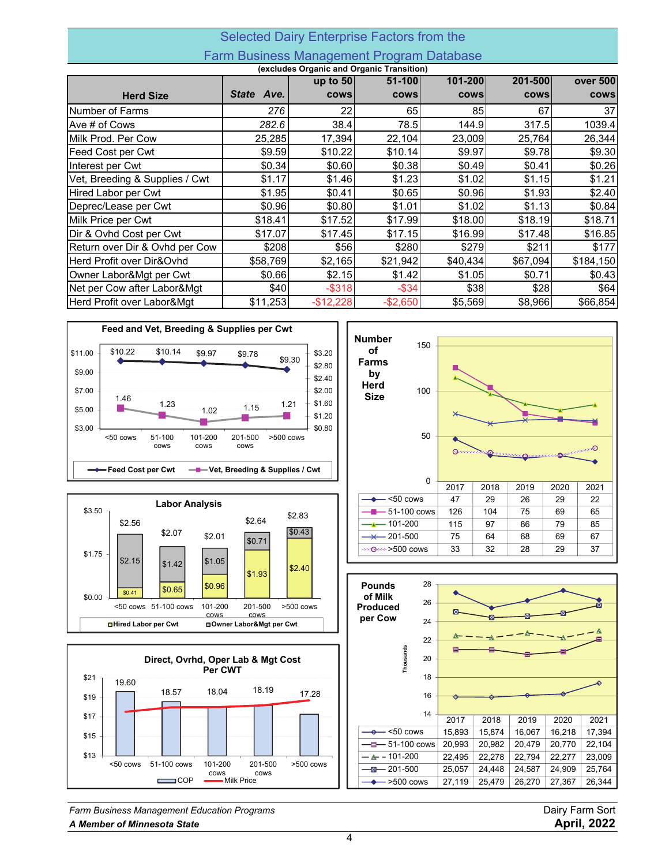## Selected Dairy Enterprise Factors from the Farm Business Management Program Database

| (excludes Organic and Organic Transition) |                      |             |             |             |             |           |  |  |  |
|-------------------------------------------|----------------------|-------------|-------------|-------------|-------------|-----------|--|--|--|
|                                           |                      | up to $50$  | 51-100      | 101-200     | 201-500     | over 500  |  |  |  |
| <b>Herd Size</b>                          | <b>State</b><br>Ave. | <b>COWS</b> | <b>COWS</b> | <b>COWS</b> | <b>COWS</b> | cows      |  |  |  |
| Number of Farms                           | 276                  | 22          | 65          | 85          | 67          | 37        |  |  |  |
| Ave # of Cows                             | 282.6                | 38.4        | 78.5        | 144.9       | 317.5       | 1039.4    |  |  |  |
| Milk Prod. Per Cow                        | 25,285               | 17,394      | 22,104      | 23,009      | 25,764      | 26,344    |  |  |  |
| Feed Cost per Cwt                         | \$9.59               | \$10.22     | \$10.14     | \$9.97      | \$9.78      | \$9.30    |  |  |  |
| Interest per Cwt                          | \$0.34               | \$0.60      | \$0.38      | \$0.49      | \$0.41      | \$0.26    |  |  |  |
| Vet, Breeding & Supplies / Cwt            | \$1.17               | \$1.46      | \$1.23      | \$1.02      | \$1.15      | \$1.21    |  |  |  |
| Hired Labor per Cwt                       | \$1.95               | \$0.41      | \$0.65      | \$0.96      | \$1.93      | \$2.40    |  |  |  |
| Deprec/Lease per Cwt                      | \$0.96               | \$0.80      | \$1.01      | \$1.02      | \$1.13      | \$0.84    |  |  |  |
| Milk Price per Cwt                        | \$18.41              | \$17.52     | \$17.99     | \$18.00     | \$18.19     | \$18.71   |  |  |  |
| Dir & Ovhd Cost per Cwt                   | \$17.07              | \$17.45     | \$17.15     | \$16.99     | \$17.48     | \$16.85   |  |  |  |
| Return over Dir & Ovhd per Cow            | \$208                | \$56        | \$280       | \$279       | \$211       | \$177     |  |  |  |
| Herd Profit over Dir&Ovhd                 | \$58,769             | \$2,165     | \$21,942    | \$40,434    | \$67,094    | \$184,150 |  |  |  |
| Owner Labor&Mgt per Cwt                   | \$0.66               | \$2.15      | \$1.42      | \$1.05      | \$0.71      | \$0.43    |  |  |  |
| Net per Cow after Labor&Mgt               | \$40                 | $-$ \$318   | $-$ \$34    | \$38]       | \$28        | \$64      |  |  |  |
| Herd Profit over Labor&Mgt                | \$11,253             | $-$12,228$  | $-$2,650$   | \$5,569     | \$8,966     | \$66,854  |  |  |  |







**Number** 150 **of Farms by Herd** 100 **Size** 50 **O**esser  $\bigcirc$ ٠o 0 2017 2018 2019 2020 2021 <50 cows 47 29 26 29 22 51-100 cows 126 104 75 69 65 101-200 115 97 86 79 85  $201-500$  75 64 68 69 69  $\overline{\varkappa}$  $\frac{33}{28}$  28 29 37



*Farm Business Management Education Programs* Dairy Farm Sort *A Member of Minnesota State* **April, 2022**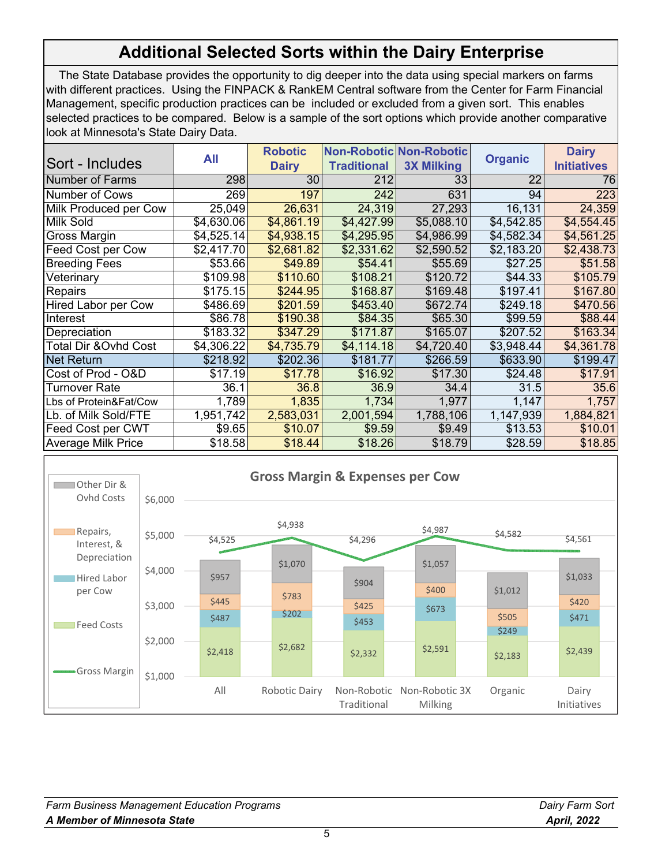# **Additional Selected Sorts within the Dairy Enterprise**

 The State Database provides the opportunity to dig deeper into the data using special markers on farms with different practices. Using the FINPACK & RankEM Central software from the Center for Farm Financial Management, specific production practices can be included or excluded from a given sort. This enables selected practices to be compared. Below is a sample of the sort options which provide another comparative look at Minnesota's State Dairy Data.

|                            | All        | <b>Robotic</b> |                    | <b>Non-Robotic Non-Robotic</b> |                | <b>Dairy</b>       |
|----------------------------|------------|----------------|--------------------|--------------------------------|----------------|--------------------|
| <b>Sort - Includes</b>     |            | <b>Dairy</b>   | <b>Traditional</b> | <b>3X Milking</b>              | <b>Organic</b> | <b>Initiatives</b> |
| Number of Farms            | 298        | 30             | 212                | 33                             | 22             | 76                 |
| Number of Cows             | 269        | 197            | 242                | 631                            | 94             | 223                |
| Milk Produced per Cow      | 25,049     | 26,631         | 24,319             | 27,293                         | 16,131         | 24,359             |
| <b>Milk Sold</b>           | \$4,630.06 | \$4,861.19     | \$4,427.99         | \$5,088.10                     | \$4,542.85     | \$4,554.45         |
| <b>Gross Margin</b>        | \$4,525.14 | \$4,938.15     | \$4,295.95         | \$4,986.99                     | \$4,582.34     | \$4,561.25         |
| Feed Cost per Cow          | \$2,417.70 | \$2,681.82     | \$2,331.62         | \$2,590.52                     | \$2,183.20     | \$2,438.73         |
| <b>Breeding Fees</b>       | \$53.66    | \$49.89        | \$54.41            | \$55.69                        | \$27.25        | \$51.58            |
| Veterinary                 | \$109.98   | \$110.60       | \$108.21           | \$120.72                       | \$44.33        | \$105.79           |
| <b>Repairs</b>             | \$175.15   | \$244.95       | \$168.87           | \$169.48                       | \$197.41       | \$167.80           |
| <b>Hired Labor per Cow</b> | \$486.69   | \$201.59       | \$453.40           | \$672.74                       | \$249.18       | \$470.56           |
| Interest                   | \$86.78    | \$190.38       | \$84.35            | \$65.30                        | \$99.59        | \$88.44            |
| Depreciation               | \$183.32   | \$347.29       | \$171.87           | \$165.07                       | \$207.52       | \$163.34           |
| Total Dir &Ovhd Cost       | \$4,306.22 | \$4,735.79     | \$4,114.18         | \$4,720.40                     | \$3,948.44     | \$4,361.78         |
| <b>Net Return</b>          | \$218.92   | \$202.36       | \$181.77           | \$266.59                       | \$633.90       | \$199.47           |
| Cost of Prod - O&D         | \$17.19    | \$17.78        | \$16.92            | \$17.30                        | \$24.48        | \$17.91            |
| Turnover Rate              | 36.1       | 36.8           | 36.9               | 34.4                           | 31.5           | 35.6               |
| Lbs of Protein&Fat/Cow     | 1,789      | 1,835          | 1,734              | 1,977                          | 1,147          | 1,757              |
| Lb. of Milk Sold/FTE       | 1,951,742  | 2,583,031      | 2,001,594          | 1,788,106                      | 1,147,939      | 1,884,821          |
| Feed Cost per CWT          | \$9.65     | \$10.07        | \$9.59             | \$9.49                         | \$13.53        | \$10.01            |
| <b>Average Milk Price</b>  | \$18.58    | \$18.44        | \$18.26            | \$18.79                        | \$28.59        | \$18.85            |



| <b>Farm Business Management Education Programs</b> | Dairy Farm Sort    |
|----------------------------------------------------|--------------------|
| A Member of Minnesota State                        | <b>April, 2022</b> |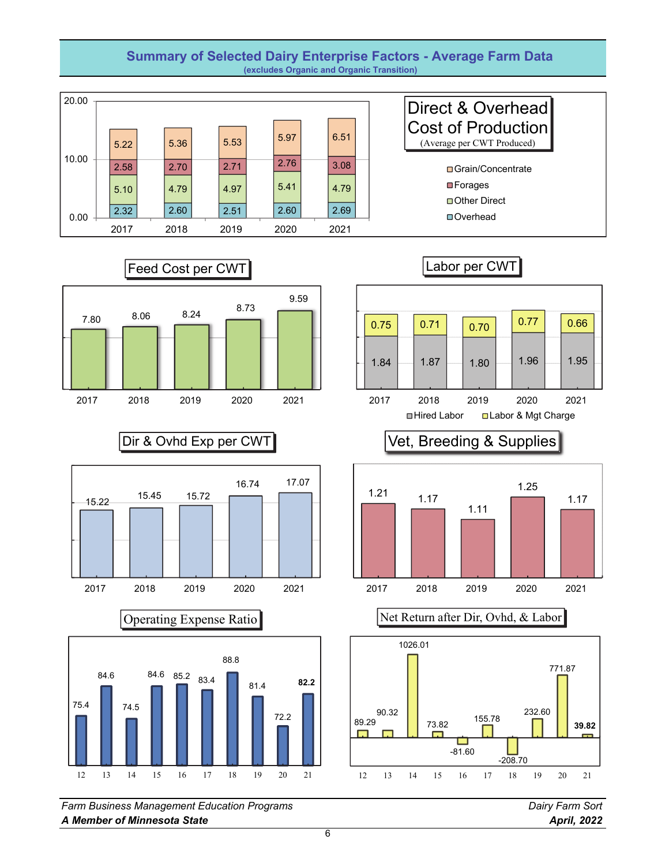### **Summary of Selected Dairy Enterprise Factors - Average Farm Data (excludes Organic and Organic Transition)**















*Farm Business Management Education Programs Dairy Farm Sort A Member of Minnesota State April, 2022*





Vet, Breeding & Supplies